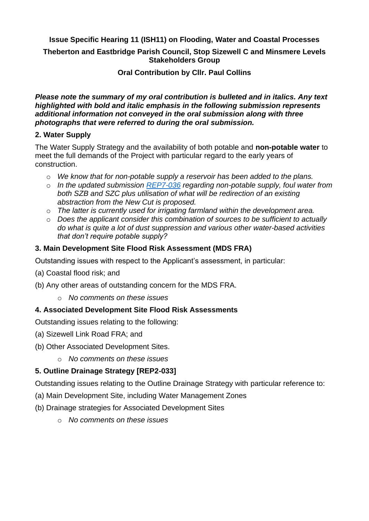# **Issue Specific Hearing 11 (ISH11) on Flooding, Water and Coastal Processes**

### **Theberton and Eastbridge Parish Council, Stop Sizewell C and Minsmere Levels Stakeholders Group**

#### **Oral Contribution by Cllr. Paul Collins**

#### *Please note the summary of my oral contribution is bulleted and in italics. Any text highlighted with bold and italic emphasis in the following submission represents additional information not conveyed in the oral submission along with three photographs that were referred to during the oral submission.*

#### **2. Water Supply**

The Water Supply Strategy and the availability of both potable and **non-potable water** to meet the full demands of the Project with particular regard to the early years of construction.

- o *We know that for non-potable supply a reservoir has been added to the plans.*
- o *In the updated submission [REP7-036](https://infrastructure.planninginspectorate.gov.uk/wp-content/ipc/uploads/projects/EN010012/EN010012-007011-Sizewell%20C%20Project%20-%208.4%20Planning%20Statement%20-%20Appendix%208.4K%20-%20Site%20Water%20Supply%20Strategy%20-%20Revision%202.0.pdf) regarding non-potable supply, foul water from both SZB and SZC plus utilisation of what will be redirection of an existing abstraction from the New Cut is proposed.*
- o *The latter is currently used for irrigating farmland within the development area.*
- o *Does the applicant consider this combination of sources to be sufficient to actually do what is quite a lot of dust suppression and various other water-based activities that don't require potable supply?*

#### **3. Main Development Site Flood Risk Assessment (MDS FRA)**

Outstanding issues with respect to the Applicant's assessment, in particular:

- (a) Coastal flood risk; and
- (b) Any other areas of outstanding concern for the MDS FRA.
	- o *No comments on these issues*

## **4. Associated Development Site Flood Risk Assessments**

Outstanding issues relating to the following:

- (a) Sizewell Link Road FRA; and
- (b) Other Associated Development Sites.
	- o *No comments on these issues*

## **5. Outline Drainage Strategy [REP2-033]**

Outstanding issues relating to the Outline Drainage Strategy with particular reference to:

- (a) Main Development Site, including Water Management Zones
- (b) Drainage strategies for Associated Development Sites
	- o *No comments on these issues*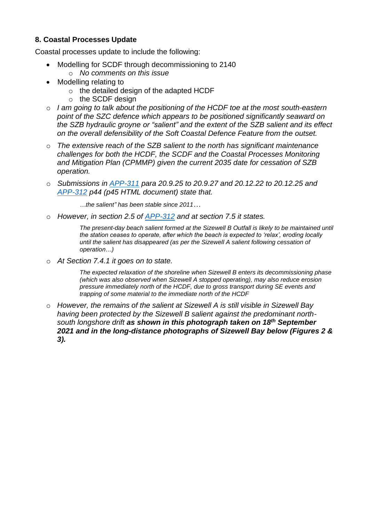## **8. Coastal Processes Update**

Coastal processes update to include the following:

- Modelling for SCDF through decommissioning to 2140
	- o *No comments on this issue*
- Modelling relating to
	- o the detailed design of the adapted HCDF
	- o the SCDF design
- o *I am going to talk about the positioning of the HCDF toe at the most south-eastern point of the SZC defence which appears to be positioned significantly seaward on the SZB hydraulic groyne or "salient" and the extent of the SZB salient and its effect on the overall defensibility of the Soft Coastal Defence Feature from the outset.*
- o *The extensive reach of the SZB salient to the north has significant maintenance challenges for both the HCDF, the SCDF and the Coastal Processes Monitoring and Mitigation Plan (CPMMP) given the current 2035 date for cessation of SZB operation.*
- o *Submissions in [APP-311](https://infrastructure.planninginspectorate.gov.uk/wp-content/ipc/uploads/projects/EN010012/EN010012-001928-SZC_Bk6_ES_V2_Ch20_Coastal%20Geomorphology%20and%20Hydrodynamics.pdf) para 20.9.25 to 20.9.27 and 20.12.22 to 20.12.25 and [APP-312](https://infrastructure.planninginspectorate.gov.uk/wp-content/ipc/uploads/projects/EN010012/EN010012-001930-SZC_Bk6_ES_V2_Ch20_Coastal_Geomorphology_Hydrodynamics_Appx20A.pdf) p44 (p45 HTML document) state that.*

*…the salient" has been stable since 2011…*

o *However, in section 2.5 of [APP-312](https://infrastructure.planninginspectorate.gov.uk/wp-content/ipc/uploads/projects/EN010012/EN010012-001930-SZC_Bk6_ES_V2_Ch20_Coastal_Geomorphology_Hydrodynamics_Appx20A.pdf) and at section 7.5 it states.*

*The present-day beach salient formed at the Sizewell B Outfall is likely to be maintained until the station ceases to operate, after which the beach is expected to 'relax', eroding locally until the salient has disappeared (as per the Sizewell A salient following cessation of operation…)*

o *At Section 7.4.1 it goes on to state.*

*The expected relaxation of the shoreline when Sizewell B enters its decommissioning phase (which was also observed when Sizewell A stopped operating), may also reduce erosion pressure immediately north of the HCDF, due to gross transport during SE events and trapping of some material to the immediate north of the HCDF* 

o *However, the remains of the salient at Sizewell A is still visible in Sizewell Bay having been protected by the Sizewell B salient against the predominant northsouth longshore drift as shown in this photograph taken on 18th September 2021 and in the long-distance photographs of Sizewell Bay below (Figures 2 & 3).*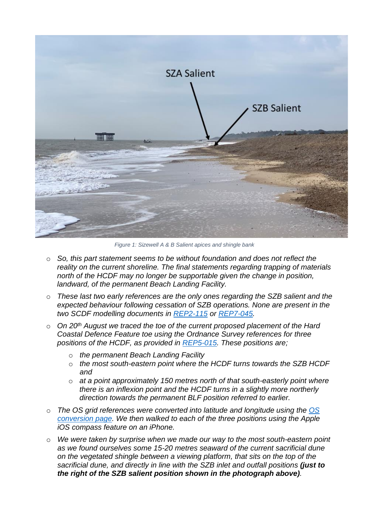

*Figure 1: Sizewell A & B Salient apices and shingle bank*

- o *So, this part statement seems to be without foundation and does not reflect the reality on the current shoreline. The final statements regarding trapping of materials north of the HCDF may no longer be supportable given the change in position, landward, of the permanent Beach Landing Facility.*
- o *These last two early references are the only ones regarding the SZB salient and the expected behaviour following cessation of SZB operations. None are present in the two SCDF modelling documents in [REP2-115](https://infrastructure.planninginspectorate.gov.uk/wp-content/ipc/uploads/projects/EN010012/EN010012-004708-D2%20-%20Sizewell%20C%20Project%20-%20One%20dimensional%20modelling%20of%20Soft%20Coastal%20Defence%20Feature%20(SCDF).pdf) or [REP7-045.](https://infrastructure.planninginspectorate.gov.uk/wp-content/ipc/uploads/projects/EN010012/EN010012-007040-Sizewell%20C%20Project%20-%209.31%20Storm%20Erosion%20Modelling%20of%20the%20Sizewell%20C%20Soft%20Coastal%20Defence%20Feature%20using%20Xceach-2D%20and%20Xbeach-G%20-%20Revision%202.0.pdf)*
- o *On 20th August we traced the toe of the current proposed placement of the Hard Coastal Defence Feature toe using the Ordnance Survey references for three positions of the HCDF, as provided in [REP5-015.](https://infrastructure.planninginspectorate.gov.uk/wp-content/ipc/uploads/projects/EN010012/EN010012-006351-Sizewell%20C%20Project%20-%20Other-%20SZC%20Bk2%202.5(A)%20Temporary%20and%20Permanent%20Coastal%20Defence%20Feature%20Plans.pdf) These positions are;*
	- o *the permanent Beach Landing Facility*
	- o *the most south-eastern point where the HCDF turns towards the SZB HCDF and*
	- o *at a point approximately 150 metres north of that south-easterly point where there is an inflexion point and the HCDF turns in a slightly more northerly direction towards the permanent BLF position referred to earlier.*
- o *The OS grid references were converted into latitude and longitude using the [OS](https://www.ordnancesurvey.co.uk/gps/transformation/)  [conversion page.](https://www.ordnancesurvey.co.uk/gps/transformation/) We then walked to each of the three positions using the Apple iOS compass feature on an iPhone.*
- o *We were taken by surprise when we made our way to the most south-eastern point as we found ourselves some 15-20 metres seaward of the current sacrificial dune on the vegetated shingle between a viewing platform, that sits on the top of the sacrificial dune, and directly in line with the SZB inlet and outfall positions (just to the right of the SZB salient position shown in the photograph above).*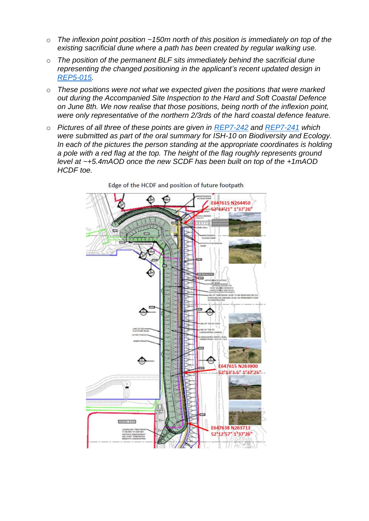- o *The inflexion point position ~150m north of this position is immediately on top of the existing sacrificial dune where a path has been created by regular walking use.*
- o *The position of the permanent BLF sits immediately behind the sacrificial dune representing the changed positioning in the applicant's recent updated design in [REP5-015.](https://infrastructure.planninginspectorate.gov.uk/wp-content/ipc/uploads/projects/EN010012/EN010012-006351-Sizewell%20C%20Project%20-%20Other-%20SZC%20Bk2%202.5(A)%20Temporary%20and%20Permanent%20Coastal%20Defence%20Feature%20Plans.pdf)*
- o *These positions were not what we expected given the positions that were marked out during the Accompanied Site Inspection to the Hard and Soft Coastal Defence on June 8th. We now realise that those positions, being north of the inflexion point, were only representative of the northern 2/3rds of the hard coastal defence feature.*
- o *Pictures of all three of these points are given in [REP7-242](https://infrastructure.planninginspectorate.gov.uk/wp-content/ipc/uploads/projects/EN010012/EN010012-007109-DL7%20-%20Theberton%20and%20Eastbridge%20Parish%20Council%20-%20Post%20Hearing%20submissions%20including%20written%20submissions%20of%20oral%20case%203.pdf) and [REP7-241](https://infrastructure.planninginspectorate.gov.uk/wp-content/ipc/uploads/projects/EN010012/EN010012-007108-DL7%20-%20Theberton%20and%20Eastbridge%20Parish%20Council%20-%20Post%20Hearing%20submissions%20including%20written%20submissions%20of%20oral%20case%202.pdf) which were submitted as part of the oral summary for ISH-10 on Biodiversity and Ecology. In each of the pictures the person standing at the appropriate coordinates is holding a pole with a red flag at the top. The height of the flag roughly represents ground level at ~+5.4mAOD once the new SCDF has been built on top of the +1mAOD HCDF toe.*



Edge of the HCDF and position of future footpath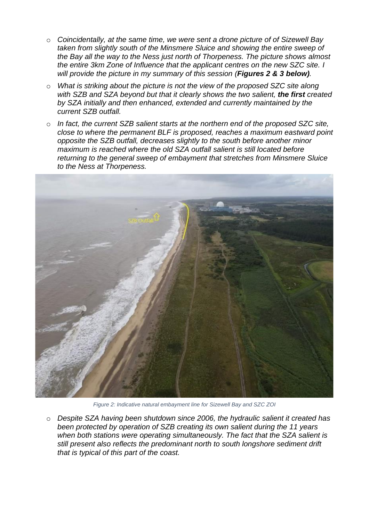- o *Coincidentally, at the same time, we were sent a drone picture of of Sizewell Bay taken from slightly south of the Minsmere Sluice and showing the entire sweep of the Bay all the way to the Ness just north of Thorpeness. The picture shows almost the entire 3km Zone of Influence that the applicant centres on the new SZC site. I will provide the picture in my summary of this session (Figures 2 & 3 below).*
- o *What is striking about the picture is not the view of the proposed SZC site along*  with SZB and SZA beyond but that it clearly shows the two salient, the first created *by SZA initially and then enhanced, extended and currently maintained by the current SZB outfall.*
- o *In fact, the current SZB salient starts at the northern end of the proposed SZC site, close to where the permanent BLF is proposed, reaches a maximum eastward point opposite the SZB outfall, decreases slightly to the south before another minor maximum is reached where the old SZA outfall salient is still located before returning to the general sweep of embayment that stretches from Minsmere Sluice to the Ness at Thorpeness.*



*Figure 2: Indicative natural embayment line for Sizewell Bay and SZC ZOI*

o *Despite SZA having been shutdown since 2006, the hydraulic salient it created has been protected by operation of SZB creating its own salient during the 11 years when both stations were operating simultaneously. The fact that the SZA salient is still present also reflects the predominant north to south longshore sediment drift that is typical of this part of the coast.*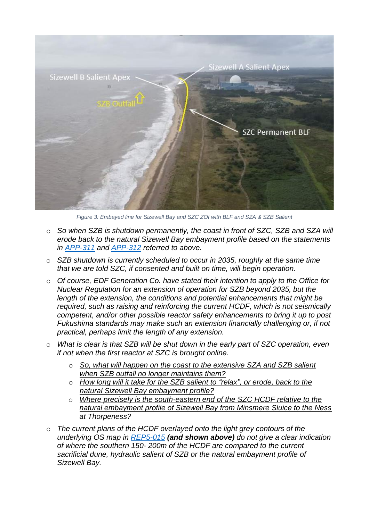

*Figure 3: Embayed line for Sizewell Bay and SZC ZOI with BLF and SZA & SZB Salient*

- o *So when SZB is shutdown permanently, the coast in front of SZC, SZB and SZA will erode back to the natural Sizewell Bay embayment profile based on the statements in [APP-311](https://infrastructure.planninginspectorate.gov.uk/wp-content/ipc/uploads/projects/EN010012/EN010012-001928-SZC_Bk6_ES_V2_Ch20_Coastal%20Geomorphology%20and%20Hydrodynamics.pdf) and [APP-312](https://infrastructure.planninginspectorate.gov.uk/wp-content/ipc/uploads/projects/EN010012/EN010012-001930-SZC_Bk6_ES_V2_Ch20_Coastal_Geomorphology_Hydrodynamics_Appx20A.pdf) referred to above.*
- o *SZB shutdown is currently scheduled to occur in 2035, roughly at the same time that we are told SZC, if consented and built on time, will begin operation.*
- o *Of course, EDF Generation Co. have stated their intention to apply to the Office for Nuclear Regulation for an extension of operation for SZB beyond 2035, but the length of the extension, the conditions and potential enhancements that might be required, such as raising and reinforcing the current HCDF, which is not seismically competent, and/or other possible reactor safety enhancements to bring it up to post Fukushima standards may make such an extension financially challenging or, if not practical, perhaps limit the length of any extension.*
- o *What is clear is that SZB will be shut down in the early part of SZC operation, even if not when the first reactor at SZC is brought online.*
	- o *So, what will happen on the coast to the extensive SZA and SZB salient when SZB outfall no longer maintains them?*
	- o *How long will it take for the SZB salient to "relax", or erode, back to the natural Sizewell Bay embayment profile?*
	- o *Where precisely is the south-eastern end of the SZC HCDF relative to the natural embayment profile of Sizewell Bay from Minsmere Sluice to the Ness at Thorpeness?*
- o *The current plans of the HCDF overlayed onto the light grey contours of the underlying OS map in [REP5-015](https://infrastructure.planninginspectorate.gov.uk/wp-content/ipc/uploads/projects/EN010012/EN010012-006351-Sizewell%20C%20Project%20-%20Other-%20SZC%20Bk2%202.5(A)%20Temporary%20and%20Permanent%20Coastal%20Defence%20Feature%20Plans.pdf) (and shown above) do not give a clear indication of where the southern 150- 200m of the HCDF are compared to the current sacrificial dune, hydraulic salient of SZB or the natural embayment profile of Sizewell Bay.*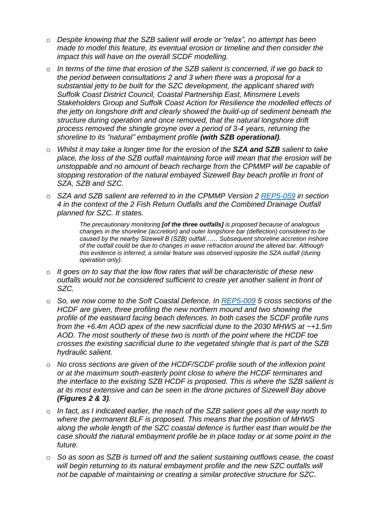- o *Despite knowing that the SZB salient will erode or "relax", no attempt has been made to model this feature, its eventual erosion or timeline and then consider the impact this will have on the overall SCDF modelling.*
- o *In terms of the time that erosion of the SZB salient is concerned, if we go back to the period between consultations 2 and 3 when there was a proposal for a substantial jetty to be built for the SZC development, the applicant shared with Suffolk Coast District Council, Coastal Partnership East, Minsmere Levels Stakeholders Group and Suffolk Coast Action for Resilience the modelled effects of the jetty on longshore drift and clearly showed the build-up of sediment beneath the structure during operation and once removed, that the natural longshore drift process removed the shingle groyne over a period of 3-4 years, returning the shoreline to its "natural" embayment profile (with SZB operational).*
- o *Whilst it may take a longer time for the erosion of the SZA and SZB salient to take place, the loss of the SZB outfall maintaining force will mean that the erosion will be unstoppable and no amount of beach recharge from the CPMMP will be capable of stopping restoration of the natural embayed Sizewell Bay beach profile in front of SZA, SZB and SZC.*
- o *SZA and SZB salient are referred to in the CPMMP Version 2 [REP5-059](https://infrastructure.planninginspectorate.gov.uk/wp-content/ipc/uploads/projects/EN010012/EN010012-006272-Sizewell%20C%20Project%20-%20Other-%20SZC_Bk6_6.14(A)_Coastal_Processes_Monitoring_and_Mitigation_Plan.pdf) in section 4 in the context of the 2 Fish Return Outfalls and the Combined Drainage Outfall planned for SZC. It states.*

*The precautionary monitoring [of the three outfalls] is proposed because of analogous changes in the shoreline (accretion) and outer longshore bar (deflection) considered to be caused by the nearby Sizewell B (SZB) outfall…… Subsequent shoreline accretion inshore of the outfall could be due to changes in wave refraction around the altered bar. Although this evidence is inferred, a similar feature was observed opposite the SZA outfall (during operation only).*

- o *It goes on to say that the low flow rates that will be characteristic of these new outfalls would not be considered sufficient to create yet another salient in front of SZC.*
- o *So, we now come to the Soft Coastal Defence. In [REP5-009](https://infrastructure.planninginspectorate.gov.uk/wp-content/ipc/uploads/projects/EN010012/EN010012-006349-Sizewell%20C%20Project%20-%20Other-%20SZC%20Bk2%202.5(A)%20MDS%20Permanent%20and%20Temporary%20BLF%20and%20SSSI%20Crossing%20Plans%20Part%201%20of%202.pdf) 5 cross sections of the HCDF are given, three profiling the new northern mound and two showing the profile of the eastward facing beach defences. In both cases the SCDF profile runs from the +6.4m AOD apex of the new sacrificial dune to the 2030 MHWS at ~+1.5m AOD. The most southerly of these two is north of the point where the HCDF toe crosses the existing sacrificial dune to the vegetated shingle that is part of the SZB hydraulic salient.*
- o *No cross sections are given of the HCDF/SCDF profile south of the inflexion point or at the maximum south-easterly point close to where the HCDF terminates and the interface to the existing SZB HCDF is proposed. This is where the SZB salient is at its most extensive and can be seen in the drone pictures of Sizewell Bay above (Figures 2 & 3).*
- o *In fact, as I indicated earlier, the reach of the SZB salient goes all the way north to where the permanent BLF is proposed. This means that the position of MHWS along the whole length of the SZC coastal defence is further east than would be the case should the natural embayment profile be in place today or at some point in the future.*
- o *So as soon as SZB is turned off and the salient sustaining outflows cease, the coast will begin returning to its natural embayment profile and the new SZC outfalls will not be capable of maintaining or creating a similar protective structure for SZC.*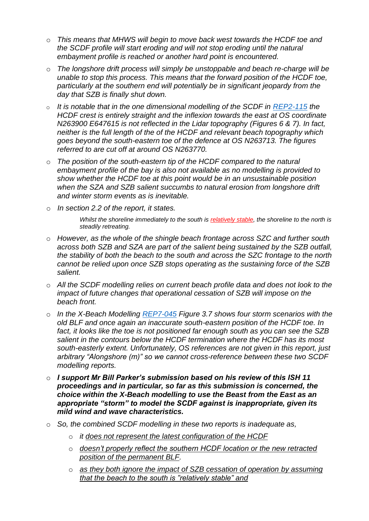- o *This means that MHWS will begin to move back west towards the HCDF toe and the SCDF profile will start eroding and will not stop eroding until the natural embayment profile is reached or another hard point is encountered.*
- o *The longshore drift process will simply be unstoppable and beach re-charge will be unable to stop this process. This means that the forward position of the HCDF toe, particularly at the southern end will potentially be in significant jeopardy from the day that SZB is finally shut down.*
- o *It is notable that in the one dimensional modelling of the SCDF in [REP2-115](https://infrastructure.planninginspectorate.gov.uk/wp-content/ipc/uploads/projects/EN010012/EN010012-004708-D2%20-%20Sizewell%20C%20Project%20-%20One%20dimensional%20modelling%20of%20Soft%20Coastal%20Defence%20Feature%20(SCDF).pdf) the HCDF crest is entirely straight and the inflexion towards the east at OS coordinate N263900 E647615 is not reflected in the Lidar topography (Figures 6 & 7). In fact, neither is the full length of the of the HCDF and relevant beach topography which goes beyond the south-eastern toe of the defence at OS N263713. The figures referred to are cut off at around OS N263770.*
- o *The position of the south-eastern tip of the HCDF compared to the natural embayment profile of the bay is also not available as no modelling is provided to show whether the HCDF toe at this point would be in an unsustainable position when the SZA and SZB salient succumbs to natural erosion from longshore drift and winter storm events as is inevitable.*
- o *In section 2.2 of the report, it states.*

*Whilst the shoreline immediately to the south is relatively stable, the shoreline to the north is steadily retreating.*

- o *However, as the whole of the shingle beach frontage across SZC and further south across both SZB and SZA are part of the salient being sustained by the SZB outfall, the stability of both the beach to the south and across the SZC frontage to the north cannot be relied upon once SZB stops operating as the sustaining force of the SZB salient.*
- o *All the SCDF modelling relies on current beach profile data and does not look to the impact of future changes that operational cessation of SZB will impose on the beach front.*
- o *In the X-Beach Modelling [REP7-045](https://infrastructure.planninginspectorate.gov.uk/wp-content/ipc/uploads/projects/EN010012/EN010012-007040-Sizewell%20C%20Project%20-%209.31%20Storm%20Erosion%20Modelling%20of%20the%20Sizewell%20C%20Soft%20Coastal%20Defence%20Feature%20using%20Xceach-2D%20and%20Xbeach-G%20-%20Revision%202.0.pdf) Figure 3.7 shows four storm scenarios with the old BLF and once again an inaccurate south-eastern position of the HCDF toe. In fact, it looks like the toe is not positioned far enough south as you can see the SZB salient in the contours below the HCDF termination where the HCDF has its most south-easterly extent. Unfortunately, OS references are not given in this report, just arbitrary "Alongshore (m)" so we cannot cross-reference between these two SCDF modelling reports.*
- o *I support Mr Bill Parker's submission based on his review of this ISH 11 proceedings and in particular, so far as this submission is concerned, the choice within the X-Beach modelling to use the Beast from the East as an appropriate "storm" to model the SCDF against is inappropriate, given its mild wind and wave characteristics.*
- o *So, the combined SCDF modelling in these two reports is inadequate as,*
	- o *it does not represent the latest configuration of the HCDF*
	- o *doesn't properly reflect the southern HCDF location or the new retracted position of the permanent BLF.*
	- o *as they both ignore the impact of SZB cessation of operation by assuming that the beach to the south is "relatively stable" and*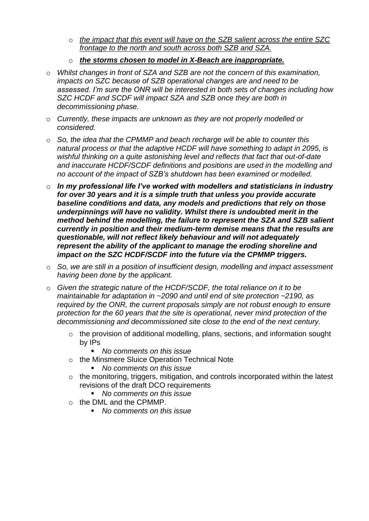- o *the impact that this event will have on the SZB salient across the entire SZC frontage to the north and south across both SZB and SZA.*
- o *the storms chosen to model in X-Beach are inappropriate.*
- o *Whilst changes in front of SZA and SZB are not the concern of this examination, impacts on SZC because of SZB operational changes are and need to be assessed. I'm sure the ONR will be interested in both sets of changes including how SZC HCDF and SCDF will impact SZA and SZB once they are both in decommissioning phase.*
- o *Currently, these impacts are unknown as they are not properly modelled or considered.*
- o *So, the idea that the CPMMP and beach recharge will be able to counter this natural process or that the adaptive HCDF will have something to adapt in 2095, is wishful thinking on a quite astonishing level and reflects that fact that out-of-date and inaccurate HCDF/SCDF definitions and positions are used in the modelling and no account of the impact of SZB's shutdown has been examined or modelled.*
- o *In my professional life I've worked with modellers and statisticians in industry for over 30 years and it is a simple truth that unless you provide accurate baseline conditions and data, any models and predictions that rely on those underpinnings will have no validity. Whilst there is undoubted merit in the method behind the modelling, the failure to represent the SZA and SZB salient currently in position and their medium-term demise means that the results are questionable, will not reflect likely behaviour and will not adequately represent the ability of the applicant to manage the eroding shoreline and impact on the SZC HCDF/SCDF into the future via the CPMMP triggers.*
- o *So, we are still in a position of insufficient design, modelling and impact assessment having been done by the applicant.*
- o *Given the strategic nature of the HCDF/SCDF, the total reliance on it to be maintainable for adaptation in ~2090 and until end of site protection ~2190, as required by the ONR, the current proposals simply are not robust enough to ensure protection for the 60 years that the site is operational, never mind protection of the decommissioning and decommissioned site close to the end of the next century.*
	- o the provision of additional modelling, plans, sections, and information sought by IPs
		- *No comments on this issue*
	- o the Minsmere Sluice Operation Technical Note
		- *No comments on this issue*
	- o the monitoring, triggers, mitigation, and controls incorporated within the latest revisions of the draft DCO requirements
		- *No comments on this issue*
	- o the DML and the CPMMP.
		- *No comments on this issue*